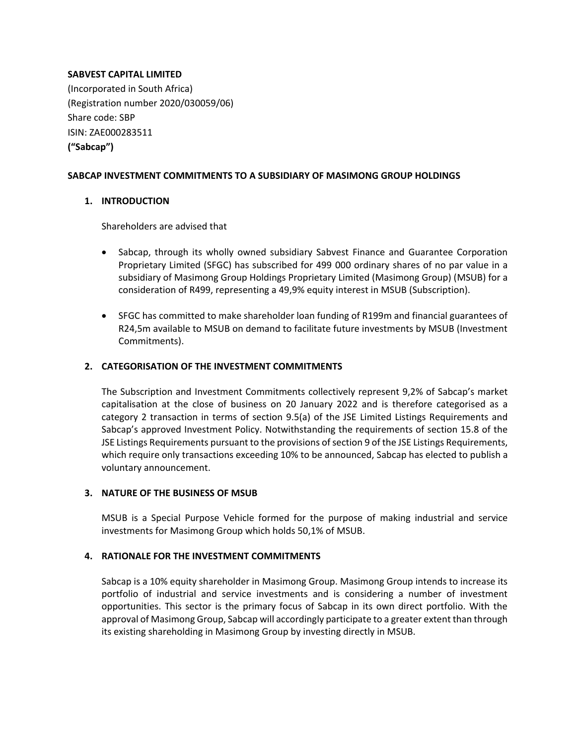## **SABVEST CAPITAL LIMITED**

(Incorporated in South Africa) (Registration number 2020/030059/06) Share code: SBP ISIN: ZAE000283511 **("Sabcap")**

## **SABCAP INVESTMENT COMMITMENTS TO A SUBSIDIARY OF MASIMONG GROUP HOLDINGS**

# **1. INTRODUCTION**

Shareholders are advised that

- Sabcap, through its wholly owned subsidiary Sabvest Finance and Guarantee Corporation Proprietary Limited (SFGC) has subscribed for 499 000 ordinary shares of no par value in a subsidiary of Masimong Group Holdings Proprietary Limited (Masimong Group) (MSUB) for a consideration of R499, representing a 49,9% equity interest in MSUB (Subscription).
- SFGC has committed to make shareholder loan funding of R199m and financial guarantees of R24,5m available to MSUB on demand to facilitate future investments by MSUB (Investment Commitments).

# **2. CATEGORISATION OF THE INVESTMENT COMMITMENTS**

The Subscription and Investment Commitments collectively represent 9,2% of Sabcap's market capitalisation at the close of business on 20 January 2022 and is therefore categorised as a category 2 transaction in terms of section 9.5(a) of the JSE Limited Listings Requirements and Sabcap's approved Investment Policy. Notwithstanding the requirements of section 15.8 of the JSE Listings Requirements pursuant to the provisions of section 9 of the JSE Listings Requirements, which require only transactions exceeding 10% to be announced, Sabcap has elected to publish a voluntary announcement.

## **3. NATURE OF THE BUSINESS OF MSUB**

MSUB is a Special Purpose Vehicle formed for the purpose of making industrial and service investments for Masimong Group which holds 50,1% of MSUB.

## **4. RATIONALE FOR THE INVESTMENT COMMITMENTS**

Sabcap is a 10% equity shareholder in Masimong Group. Masimong Group intends to increase its portfolio of industrial and service investments and is considering a number of investment opportunities. This sector is the primary focus of Sabcap in its own direct portfolio. With the approval of Masimong Group, Sabcap will accordingly participate to a greater extent than through its existing shareholding in Masimong Group by investing directly in MSUB.